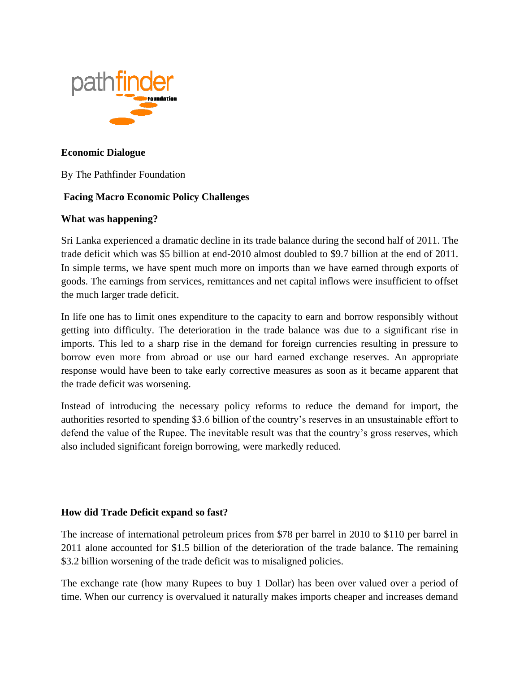

#### **Economic Dialogue**

By The Pathfinder Foundation

## **Facing Macro Economic Policy Challenges**

#### **What was happening?**

Sri Lanka experienced a dramatic decline in its trade balance during the second half of 2011. The trade deficit which was \$5 billion at end-2010 almost doubled to \$9.7 billion at the end of 2011. In simple terms, we have spent much more on imports than we have earned through exports of goods. The earnings from services, remittances and net capital inflows were insufficient to offset the much larger trade deficit.

In life one has to limit ones expenditure to the capacity to earn and borrow responsibly without getting into difficulty. The deterioration in the trade balance was due to a significant rise in imports. This led to a sharp rise in the demand for foreign currencies resulting in pressure to borrow even more from abroad or use our hard earned exchange reserves. An appropriate response would have been to take early corrective measures as soon as it became apparent that the trade deficit was worsening.

Instead of introducing the necessary policy reforms to reduce the demand for import, the authorities resorted to spending \$3.6 billion of the country's reserves in an unsustainable effort to defend the value of the Rupee. The inevitable result was that the country's gross reserves, which also included significant foreign borrowing, were markedly reduced.

### **How did Trade Deficit expand so fast?**

The increase of international petroleum prices from \$78 per barrel in 2010 to \$110 per barrel in 2011 alone accounted for \$1.5 billion of the deterioration of the trade balance. The remaining \$3.2 billion worsening of the trade deficit was to misaligned policies.

The exchange rate (how many Rupees to buy 1 Dollar) has been over valued over a period of time. When our currency is overvalued it naturally makes imports cheaper and increases demand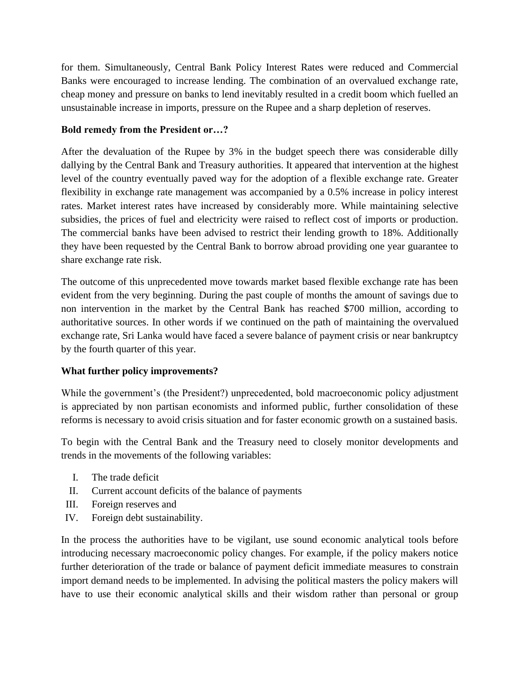for them. Simultaneously, Central Bank Policy Interest Rates were reduced and Commercial Banks were encouraged to increase lending. The combination of an overvalued exchange rate, cheap money and pressure on banks to lend inevitably resulted in a credit boom which fuelled an unsustainable increase in imports, pressure on the Rupee and a sharp depletion of reserves.

## **Bold remedy from the President or…?**

After the devaluation of the Rupee by 3% in the budget speech there was considerable dilly dallying by the Central Bank and Treasury authorities. It appeared that intervention at the highest level of the country eventually paved way for the adoption of a flexible exchange rate. Greater flexibility in exchange rate management was accompanied by a 0.5% increase in policy interest rates. Market interest rates have increased by considerably more. While maintaining selective subsidies, the prices of fuel and electricity were raised to reflect cost of imports or production. The commercial banks have been advised to restrict their lending growth to 18%. Additionally they have been requested by the Central Bank to borrow abroad providing one year guarantee to share exchange rate risk.

The outcome of this unprecedented move towards market based flexible exchange rate has been evident from the very beginning. During the past couple of months the amount of savings due to non intervention in the market by the Central Bank has reached \$700 million, according to authoritative sources. In other words if we continued on the path of maintaining the overvalued exchange rate, Sri Lanka would have faced a severe balance of payment crisis or near bankruptcy by the fourth quarter of this year.

### **What further policy improvements?**

While the government's (the President?) unprecedented, bold macroeconomic policy adjustment is appreciated by non partisan economists and informed public, further consolidation of these reforms is necessary to avoid crisis situation and for faster economic growth on a sustained basis.

To begin with the Central Bank and the Treasury need to closely monitor developments and trends in the movements of the following variables:

- I. The trade deficit
- II. Current account deficits of the balance of payments
- III. Foreign reserves and
- IV. Foreign debt sustainability.

In the process the authorities have to be vigilant, use sound economic analytical tools before introducing necessary macroeconomic policy changes. For example, if the policy makers notice further deterioration of the trade or balance of payment deficit immediate measures to constrain import demand needs to be implemented. In advising the political masters the policy makers will have to use their economic analytical skills and their wisdom rather than personal or group